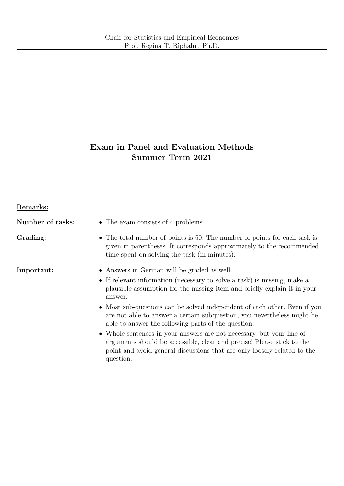# Exam in Panel and Evaluation Methods Summer Term 2021

| Remarks: |
|----------|
|----------|

| Number of tasks: | • The exam consists of 4 problems.                                                                                                                                                                                                       |
|------------------|------------------------------------------------------------------------------------------------------------------------------------------------------------------------------------------------------------------------------------------|
| Grading:         | • The total number of points is 60. The number of points for each task is<br>given in parentheses. It corresponds approximately to the recommended<br>time spent on solving the task (in minutes).                                       |
| Important:       | • Answers in German will be graded as well.                                                                                                                                                                                              |
|                  | • If relevant information (necessary to solve a task) is missing, make a<br>plausible assumption for the missing item and briefly explain it in your<br>answer.                                                                          |
|                  | • Most sub-questions can be solved independent of each other. Even if you<br>are not able to answer a certain subquestion, you nevertheless might be<br>able to answer the following parts of the question.                              |
|                  | • Whole sentences in your answers are not necessary, but your line of<br>arguments should be accessible, clear and precise! Please stick to the<br>point and avoid general discussions that are only loosely related to the<br>question. |
|                  |                                                                                                                                                                                                                                          |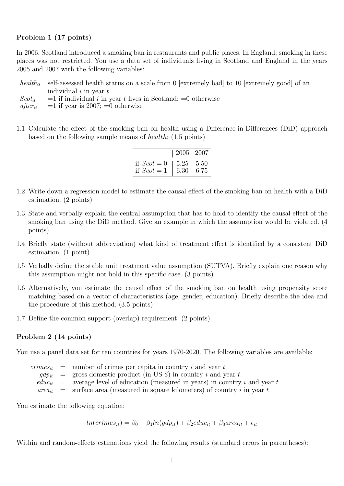## Problem 1 (17 points)

In 2006, Scotland introduced a smoking ban in restaurants and public places. In England, smoking in these places was not restricted. You use a data set of individuals living in Scotland and England in the years 2005 and 2007 with the following variables:

health<sub>it</sub> self-assessed health status on a scale from 0 [extremely bad] to 10 [extremely good] of an individual  $i$  in year  $t$ 

 $Scott_{it}$  = 1 if individual i in year t lives in Scotland; = 0 otherwise

 $after_{it} =1$  if year is 2007; =0 otherwise

1.1 Calculate the effect of the smoking ban on health using a Difference-in-Differences (DiD) approach based on the following sample means of health: (1.5 points)

|                                              | $ 2005 \t2007$                |      |
|----------------------------------------------|-------------------------------|------|
| if $S\text{cot} = 0$<br>if $S\text{cot} = 1$ | $\frac{1}{5.25}$ 5.50<br>6.30 | 6.75 |

- 1.2 Write down a regression model to estimate the causal effect of the smoking ban on health with a DiD estimation. (2 points)
- 1.3 State and verbally explain the central assumption that has to hold to identify the causal effect of the smoking ban using the DiD method. Give an example in which the assumption would be violated. (4 points)
- 1.4 Briefly state (without abbreviation) what kind of treatment effect is identified by a consistent DiD estimation. (1 point)
- 1.5 Verbally define the stable unit treatment value assumption (SUTVA). Briefly explain one reason why this assumption might not hold in this specific case. (3 points)
- 1.6 Alternatively, you estimate the causal effect of the smoking ban on health using propensity score matching based on a vector of characteristics (age, gender, education). Briefly describe the idea and the procedure of this method. (3.5 points)
- 1.7 Define the common support (overlap) requirement. (2 points)

#### Problem 2 (14 points)

You use a panel data set for ten countries for years 1970-2020. The following variables are available:

|  | $c$ <i>crimes<sub>it</sub></i> = number of crimes per capita in country <i>i</i> and year <i>t</i> |
|--|----------------------------------------------------------------------------------------------------|
|  | $gdp_{it}$ = gross domestic product (in US \$) in country i and year t                             |
|  | $\theta_i$ = average level of education (measured in years) in country i and year t                |
|  | $area_{it}$ = surface area (measured in square kilometers) of country i in year t                  |

You estimate the following equation:

$$
ln(crimes_{it}) = \beta_0 + \beta_1 ln(gdp_{it}) + \beta_2 educ_{it} + \beta_3 area_{it} + \epsilon_{it}
$$

Within and random-effects estimations yield the following results (standard errors in parentheses):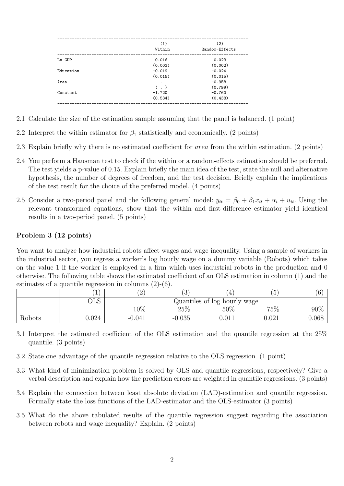| (1)      | (2)<br>Random-Effects |
|----------|-----------------------|
|          |                       |
| 0.016    | 0.023                 |
| (0.003)  | (0.002)               |
| $-0.019$ | $-0.024$              |
| (0.015)  | (0.015)               |
|          | $-0.958$              |
| $($ .)   | (0.799)               |
| $-1.720$ | $-0.760$              |
| (0.534)  | (0.438)               |
|          | Within                |

- 2.1 Calculate the size of the estimation sample assuming that the panel is balanced. (1 point)
- 2.2 Interpret the within estimator for  $\beta_1$  statistically and economically. (2 points)
- 2.3 Explain briefly why there is no estimated coefficient for area from the within estimation. (2 points)
- 2.4 You perform a Hausman test to check if the within or a random-effects estimation should be preferred. The test yields a p-value of 0.15. Explain briefly the main idea of the test, state the null and alternative hypothesis, the number of degrees of freedom, and the test decision. Briefly explain the implications of the test result for the choice of the preferred model. (4 points)
- 2.5 Consider a two-period panel and the following general model:  $y_{it} = \beta_0 + \beta_1 x_{it} + \alpha_i + u_{it}$ . Using the relevant transformed equations, show that the within and first-difference estimator yield identical results in a two-period panel. (5 points)

# Problem 3 (12 points)

You want to analyze how industrial robots affect wages and wage inequality. Using a sample of workers in the industrial sector, you regress a worker's log hourly wage on a dummy variable (Robots) which takes on the value 1 if the worker is employed in a firm which uses industrial robots in the production and 0 otherwise. The following table shows the estimated coefficient of an OLS estimation in column (1) and the estimates of a quantile regression in columns (2)-(6).

|        | ∸     | ↵                            | ാ<br>◡   |     | ◡     | $\sqrt{6}$ |
|--------|-------|------------------------------|----------|-----|-------|------------|
|        | フロに   | Quantiles of log hourly wage |          |     |       |            |
|        |       | $10\%$                       | 25%      | 50% | 75%   | $90\%$     |
| Robots | 0.024 | $-0.041$                     | $-0.035$ |     | 0.021 | 0.068      |

- 3.1 Interpret the estimated coefficient of the OLS estimation and the quantile regression at the 25% quantile. (3 points)
- 3.2 State one advantage of the quantile regression relative to the OLS regression. (1 point)
- 3.3 What kind of minimization problem is solved by OLS and quantile regressions, respectively? Give a verbal description and explain how the prediction errors are weighted in quantile regressions. (3 points)
- 3.4 Explain the connection between least absolute deviation (LAD)-estimation and quantile regression. Formally state the loss functions of the LAD-estimator and the OLS-estimator (3 points)
- 3.5 What do the above tabulated results of the quantile regression suggest regarding the association between robots and wage inequality? Explain. (2 points)